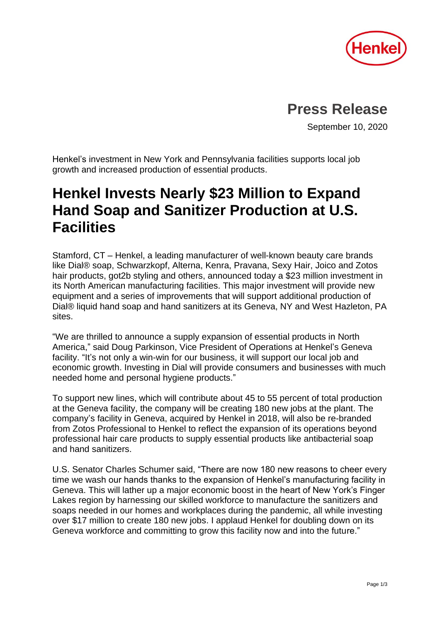

## **Press Release**

September 10, 2020

Henkel's investment in New York and Pennsylvania facilities supports local job growth and increased production of essential products.

# **Henkel Invests Nearly \$23 Million to Expand Hand Soap and Sanitizer Production at U.S. Facilities**

Stamford, CT – Henkel, a leading manufacturer of well-known beauty care brands like Dial® soap, Schwarzkopf, Alterna, Kenra, Pravana, Sexy Hair, Joico and Zotos hair products, got2b styling and others, announced today a \$23 million investment in its North American manufacturing facilities. This major investment will provide new equipment and a series of improvements that will support additional production of Dial® liquid hand soap and hand sanitizers at its Geneva, NY and West Hazleton, PA sites.

"We are thrilled to announce a supply expansion of essential products in North America," said Doug Parkinson, Vice President of Operations at Henkel's Geneva facility. "It's not only a win-win for our business, it will support our local job and economic growth. Investing in Dial will provide consumers and businesses with much needed home and personal hygiene products."

To support new lines, which will contribute about 45 to 55 percent of total production at the Geneva facility, the company will be creating 180 new jobs at the plant. The company's facility in Geneva, acquired by Henkel in 2018, will also be re-branded from Zotos Professional to Henkel to reflect the expansion of its operations beyond professional hair care products to supply essential products like antibacterial soap and hand sanitizers.

U.S. Senator Charles Schumer said, "There are now 180 new reasons to cheer every time we wash our hands thanks to the expansion of Henkel's manufacturing facility in Geneva. This will lather up a major economic boost in the heart of New York's Finger Lakes region by harnessing our skilled workforce to manufacture the sanitizers and soaps needed in our homes and workplaces during the pandemic, all while investing over \$17 million to create 180 new jobs. I applaud Henkel for doubling down on its Geneva workforce and committing to grow this facility now and into the future."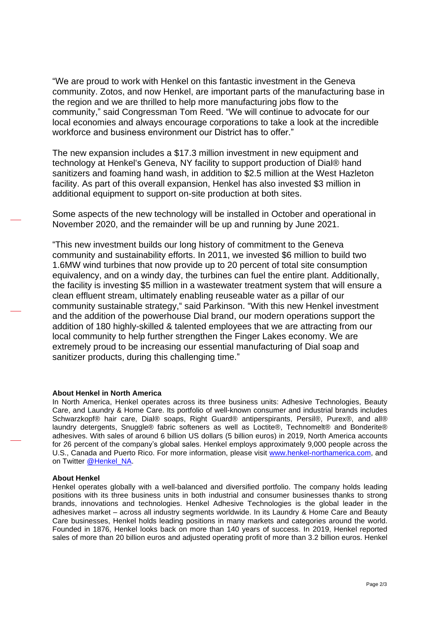"We are proud to work with Henkel on this fantastic investment in the Geneva community. Zotos, and now Henkel, are important parts of the manufacturing base in the region and we are thrilled to help more manufacturing jobs flow to the community," said Congressman Tom Reed. "We will continue to advocate for our local economies and always encourage corporations to take a look at the incredible workforce and business environment our District has to offer."

The new expansion includes a \$17.3 million investment in new equipment and technology at Henkel's Geneva, NY facility to support production of Dial® hand sanitizers and foaming hand wash, in addition to \$2.5 million at the West Hazleton facility. As part of this overall expansion, Henkel has also invested \$3 million in additional equipment to support on-site production at both sites.

Some aspects of the new technology will be installed in October and operational in November 2020, and the remainder will be up and running by June 2021.

"This new investment builds our long history of commitment to the Geneva community and sustainability efforts. In 2011, we invested \$6 million to build two 1.6MW wind turbines that now provide up to 20 percent of total site consumption equivalency, and on a windy day, the turbines can fuel the entire plant. Additionally, the facility is investing \$5 million in a wastewater treatment system that will ensure a clean effluent stream, ultimately enabling reuseable water as a pillar of our community sustainable strategy," said Parkinson. "With this new Henkel investment and the addition of the powerhouse Dial brand, our modern operations support the addition of 180 highly-skilled & talented employees that we are attracting from our local community to help further strengthen the Finger Lakes economy. We are extremely proud to be increasing our essential manufacturing of Dial soap and sanitizer products, during this challenging time."

#### **About Henkel in North America**

In North America, Henkel operates across its three business units: Adhesive Technologies, Beauty Care, and Laundry & Home Care. Its portfolio of well-known consumer and industrial brands includes Schwarzkopf® hair care, Dial® soaps, Right Guard® antiperspirants, Persil®, Purex®, and all® laundry detergents, Snuggle® fabric softeners as well as Loctite®, Technomelt® and Bonderite® adhesives. With sales of around 6 billion US dollars (5 billion euros) in 2019, North America accounts for 26 percent of the company's global sales. Henkel employs approximately 9,000 people across the U.S., Canada and Puerto Rico. For more information, please visit [www.henkel-northamerica.com,](http://www.henkel-northamerica.com/) and on Twitter [@Henkel\\_NA.](https://twitter.com/Henkel_NA)

#### **About Henkel**

Henkel operates globally with a well-balanced and diversified portfolio. The company holds leading positions with its three business units in both industrial and consumer businesses thanks to strong brands, innovations and technologies. Henkel Adhesive Technologies is the global leader in the adhesives market – across all industry segments worldwide. In its Laundry & Home Care and Beauty Care businesses, Henkel holds leading positions in many markets and categories around the world. Founded in 1876, Henkel looks back on more than 140 years of success. In 2019, Henkel reported sales of more than 20 billion euros and adjusted operating profit of more than 3.2 billion euros. Henkel